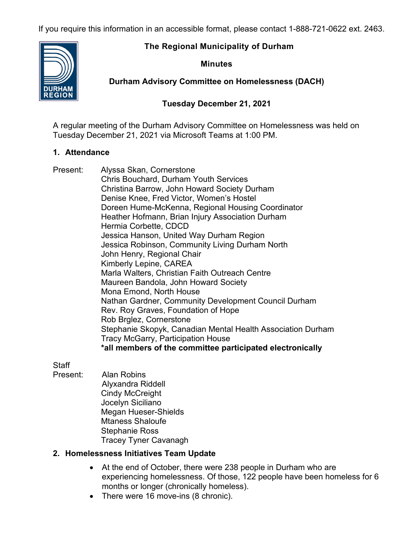If you require this information in an accessible format, please contact 1-888-721-0622 ext. 2463.

## **The Regional Municipality of Durham**

#### **Minutes**

**Durham Advisory Committee on Homelessness (DACH)**

## **Tuesday December 21, 2021**

A regular meeting of the Durham Advisory Committee on Homelessness was held on Tuesday December 21, 2021 via Microsoft Teams at 1:00 PM.

## **1. Attendance**

Present: Alyssa Skan, Cornerstone Chris Bouchard, Durham Youth Services Christina Barrow, John Howard Society Durham Denise Knee, Fred Victor, Women's Hostel Doreen Hume-McKenna, Regional Housing Coordinator Heather Hofmann, Brian Injury Association Durham Hermia Corbette, CDCD Jessica Hanson, United Way Durham Region Jessica Robinson, Community Living Durham North John Henry, Regional Chair Kimberly Lepine, CAREA Marla Walters, Christian Faith Outreach Centre Maureen Bandola, John Howard Society Mona Emond, North House Nathan Gardner, Community Development Council Durham Rev. Roy Graves, Foundation of Hope Rob Brglez, Cornerstone Stephanie Skopyk, Canadian Mental Health Association Durham Tracy McGarry, Participation House **\*all members of the committee participated electronically**

**Staff** 

Present: Alan Robins Alyxandra Riddell Cindy McCreight Jocelyn Siciliano Megan Hueser-Shields Mtaness Shaloufe Stephanie Ross Tracey Tyner Cavanagh

# **2. Homelessness Initiatives Team Update**

- At the end of October, there were 238 people in Durham who are experiencing homelessness. Of those, 122 people have been homeless for 6 months or longer (chronically homeless).
- There were 16 move-ins (8 chronic).